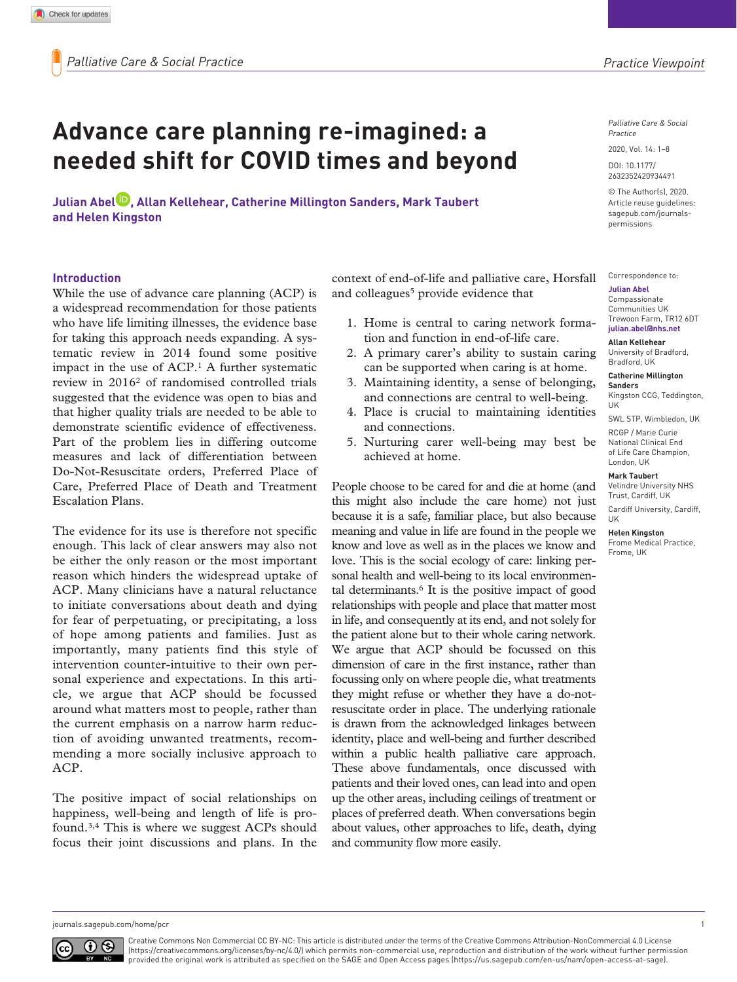*Palliative Care & Social Practice*

2020, Vol. 14: 1–8

DOI: 10.1177/ 2632352420934491

© The Author(s), 2020. Article reuse guidelines: [sagepub.com/journals](https://uk.sagepub.com/en-gb/journals-permissions)[permissions](https://uk.sagepub.com/en-gb/journals-permissions)

Correspondence to:

#### **Julian Abel**

Compassionate Communities UK Trewoon Farm, TR12 6DT **[julian.abel@nhs.net](mailto:julian.abel@nhs.net)**

#### **Allan Kellehear**

University of Bradford, Bradford, UK

**Catherine Millington Sanders**

Kingston CCG, Teddington, UK

SWL STP, Wimbledon, UK RCGP / Marie Curie

National Clinical End of Life Care Champion, London, UK

#### **Mark Taubert**

Velindre University NHS Trust, Cardiff, UK Cardiff University, Cardiff, UK

**Helen Kingston**

Frome Medical Practice, Frome, UK

# **Advance care planning re-imagined: a needed shift for COVID times and beyond**

**Julian Abel , Allan Kellehear, Catherine Millington Sanders, Mark Taubert and Helen Kingston**

#### **Introduction**

While the use of advance care planning (ACP) is a widespread recommendation for those patients who have life limiting illnesses, the evidence base for taking this approach needs expanding. A systematic review in 2014 found some positive impact in the use of ACP.1 A further systematic review in 20162 of randomised controlled trials suggested that the evidence was open to bias and that higher quality trials are needed to be able to demonstrate scientific evidence of effectiveness. Part of the problem lies in differing outcome measures and lack of differentiation between Do-Not-Resuscitate orders, Preferred Place of Care, Preferred Place of Death and Treatment Escalation Plans.

The evidence for its use is therefore not specific enough. This lack of clear answers may also not be either the only reason or the most important reason which hinders the widespread uptake of ACP. Many clinicians have a natural reluctance to initiate conversations about death and dying for fear of perpetuating, or precipitating, a loss of hope among patients and families. Just as importantly, many patients find this style of intervention counter-intuitive to their own personal experience and expectations. In this article, we argue that ACP should be focussed around what matters most to people, rather than the current emphasis on a narrow harm reduction of avoiding unwanted treatments, recommending a more socially inclusive approach to ACP.

The positive impact of social relationships on happiness, well-being and length of life is profound.3,4 This is where we suggest ACPs should focus their joint discussions and plans. In the context of end-of-life and palliative care, Horsfall and colleagues<sup>5</sup> provide evidence that

- 1. Home is central to caring network formation and function in end-of-life care.
- 2. A primary carer's ability to sustain caring can be supported when caring is at home.
- 3. Maintaining identity, a sense of belonging, and connections are central to well-being.
- 4. Place is crucial to maintaining identities and connections.
- 5. Nurturing carer well-being may best be achieved at home.

People choose to be cared for and die at home (and this might also include the care home) not just because it is a safe, familiar place, but also because meaning and value in life are found in the people we know and love as well as in the places we know and love. This is the social ecology of care: linking personal health and well-being to its local environmental determinants.<sup>6</sup> It is the positive impact of good relationships with people and place that matter most in life, and consequently at its end, and not solely for the patient alone but to their whole caring network. We argue that ACP should be focussed on this dimension of care in the first instance, rather than focussing only on where people die, what treatments they might refuse or whether they have a do-notresuscitate order in place. The underlying rationale is drawn from the acknowledged linkages between identity, place and well-being and further described within a public health palliative care approach. These above fundamentals, once discussed with patients and their loved ones, can lead into and open up the other areas, including ceilings of treatment or places of preferred death. When conversations begin about values, other approaches to life, death, dying and community flow more easily.

[journals.sagepub.com/home/](http://journals.sagepub.com/home/pcr)pcr 1



Creative Commons Non Commercial CC BY-NC: This article is distributed under the terms of the Creative Commons Attribution-NonCommercial 4.0 License (https://creativecommons.org/licenses/by-nc/4.0/) which permits non-commercial use, reproduction and distribution of the work without further permission provided the original work is attributed as specified on the SAGE and Open Access pages (https://us.sagepub.com/en-us/nam/open-access-at-sage).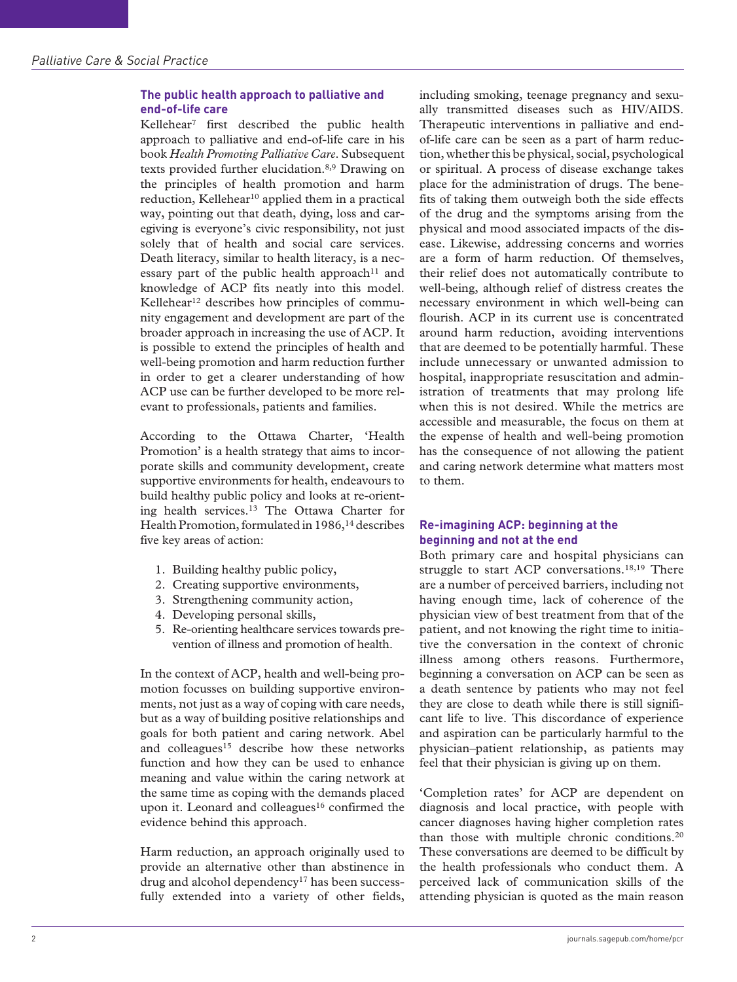# **The public health approach to palliative and end-of-life care**

Kellehear7 first described the public health approach to palliative and end-of-life care in his book *Health Promoting Palliative Care*. Subsequent texts provided further elucidation.8,9 Drawing on the principles of health promotion and harm reduction, Kellehear<sup>10</sup> applied them in a practical way, pointing out that death, dying, loss and caregiving is everyone's civic responsibility, not just solely that of health and social care services. Death literacy, similar to health literacy, is a necessary part of the public health approach<sup>11</sup> and knowledge of ACP fits neatly into this model. Kellehear<sup>12</sup> describes how principles of community engagement and development are part of the broader approach in increasing the use of ACP. It is possible to extend the principles of health and well-being promotion and harm reduction further in order to get a clearer understanding of how ACP use can be further developed to be more relevant to professionals, patients and families.

According to the Ottawa Charter, 'Health Promotion' is a health strategy that aims to incorporate skills and community development, create supportive environments for health, endeavours to build healthy public policy and looks at re-orienting health services.13 The Ottawa Charter for Health Promotion, formulated in 1986,<sup>14</sup> describes five key areas of action:

- 1. Building healthy public policy,
- 2. Creating supportive environments,
- 3. Strengthening community action,
- 4. Developing personal skills,
- 5. Re-orienting healthcare services towards prevention of illness and promotion of health.

In the context of ACP, health and well-being promotion focusses on building supportive environments, not just as a way of coping with care needs, but as a way of building positive relationships and goals for both patient and caring network. Abel and colleagues<sup>15</sup> describe how these networks function and how they can be used to enhance meaning and value within the caring network at the same time as coping with the demands placed upon it. Leonard and colleagues<sup>16</sup> confirmed the evidence behind this approach.

Harm reduction, an approach originally used to provide an alternative other than abstinence in drug and alcohol dependency<sup>17</sup> has been successfully extended into a variety of other fields,

including smoking, teenage pregnancy and sexually transmitted diseases such as HIV/AIDS. Therapeutic interventions in palliative and endof-life care can be seen as a part of harm reduction, whether this be physical, social, psychological or spiritual. A process of disease exchange takes place for the administration of drugs. The benefits of taking them outweigh both the side effects of the drug and the symptoms arising from the physical and mood associated impacts of the disease. Likewise, addressing concerns and worries are a form of harm reduction. Of themselves, their relief does not automatically contribute to well-being, although relief of distress creates the necessary environment in which well-being can flourish. ACP in its current use is concentrated around harm reduction, avoiding interventions that are deemed to be potentially harmful. These include unnecessary or unwanted admission to hospital, inappropriate resuscitation and administration of treatments that may prolong life when this is not desired. While the metrics are accessible and measurable, the focus on them at the expense of health and well-being promotion has the consequence of not allowing the patient and caring network determine what matters most to them.

# **Re-imagining ACP: beginning at the beginning and not at the end**

Both primary care and hospital physicians can struggle to start ACP conversations.<sup>18,19</sup> There are a number of perceived barriers, including not having enough time, lack of coherence of the physician view of best treatment from that of the patient, and not knowing the right time to initiative the conversation in the context of chronic illness among others reasons. Furthermore, beginning a conversation on ACP can be seen as a death sentence by patients who may not feel they are close to death while there is still significant life to live. This discordance of experience and aspiration can be particularly harmful to the physician–patient relationship, as patients may feel that their physician is giving up on them.

'Completion rates' for ACP are dependent on diagnosis and local practice, with people with cancer diagnoses having higher completion rates than those with multiple chronic conditions.20 These conversations are deemed to be difficult by the health professionals who conduct them. A perceived lack of communication skills of the attending physician is quoted as the main reason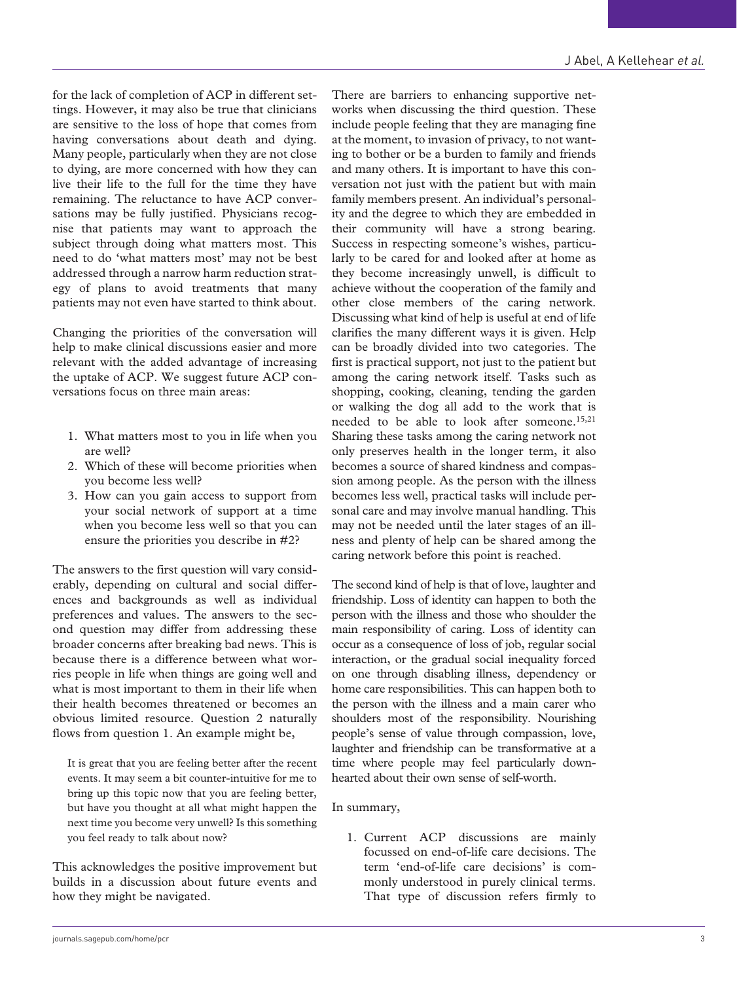for the lack of completion of ACP in different settings. However, it may also be true that clinicians are sensitive to the loss of hope that comes from having conversations about death and dying. Many people, particularly when they are not close to dying, are more concerned with how they can live their life to the full for the time they have remaining. The reluctance to have ACP conversations may be fully justified. Physicians recognise that patients may want to approach the subject through doing what matters most. This need to do 'what matters most' may not be best addressed through a narrow harm reduction strategy of plans to avoid treatments that many patients may not even have started to think about.

Changing the priorities of the conversation will help to make clinical discussions easier and more relevant with the added advantage of increasing the uptake of ACP. We suggest future ACP conversations focus on three main areas:

- 1. What matters most to you in life when you are well?
- 2. Which of these will become priorities when you become less well?
- 3. How can you gain access to support from your social network of support at a time when you become less well so that you can ensure the priorities you describe in #2?

The answers to the first question will vary considerably, depending on cultural and social differences and backgrounds as well as individual preferences and values. The answers to the second question may differ from addressing these broader concerns after breaking bad news. This is because there is a difference between what worries people in life when things are going well and what is most important to them in their life when their health becomes threatened or becomes an obvious limited resource. Question 2 naturally flows from question 1. An example might be,

It is great that you are feeling better after the recent events. It may seem a bit counter-intuitive for me to bring up this topic now that you are feeling better, but have you thought at all what might happen the next time you become very unwell? Is this something you feel ready to talk about now?

This acknowledges the positive improvement but builds in a discussion about future events and how they might be navigated.

There are barriers to enhancing supportive networks when discussing the third question. These include people feeling that they are managing fine at the moment, to invasion of privacy, to not wanting to bother or be a burden to family and friends and many others. It is important to have this conversation not just with the patient but with main family members present. An individual's personality and the degree to which they are embedded in their community will have a strong bearing. Success in respecting someone's wishes, particularly to be cared for and looked after at home as they become increasingly unwell, is difficult to achieve without the cooperation of the family and other close members of the caring network. Discussing what kind of help is useful at end of life clarifies the many different ways it is given. Help can be broadly divided into two categories. The first is practical support, not just to the patient but among the caring network itself. Tasks such as shopping, cooking, cleaning, tending the garden or walking the dog all add to the work that is needed to be able to look after someone.15,21 Sharing these tasks among the caring network not only preserves health in the longer term, it also becomes a source of shared kindness and compassion among people. As the person with the illness becomes less well, practical tasks will include personal care and may involve manual handling. This may not be needed until the later stages of an illness and plenty of help can be shared among the caring network before this point is reached.

The second kind of help is that of love, laughter and friendship. Loss of identity can happen to both the person with the illness and those who shoulder the main responsibility of caring. Loss of identity can occur as a consequence of loss of job, regular social interaction, or the gradual social inequality forced on one through disabling illness, dependency or home care responsibilities. This can happen both to the person with the illness and a main carer who shoulders most of the responsibility. Nourishing people's sense of value through compassion, love, laughter and friendship can be transformative at a time where people may feel particularly downhearted about their own sense of self-worth.

## In summary,

1. Current ACP discussions are mainly focussed on end-of-life care decisions. The term 'end-of-life care decisions' is commonly understood in purely clinical terms. That type of discussion refers firmly to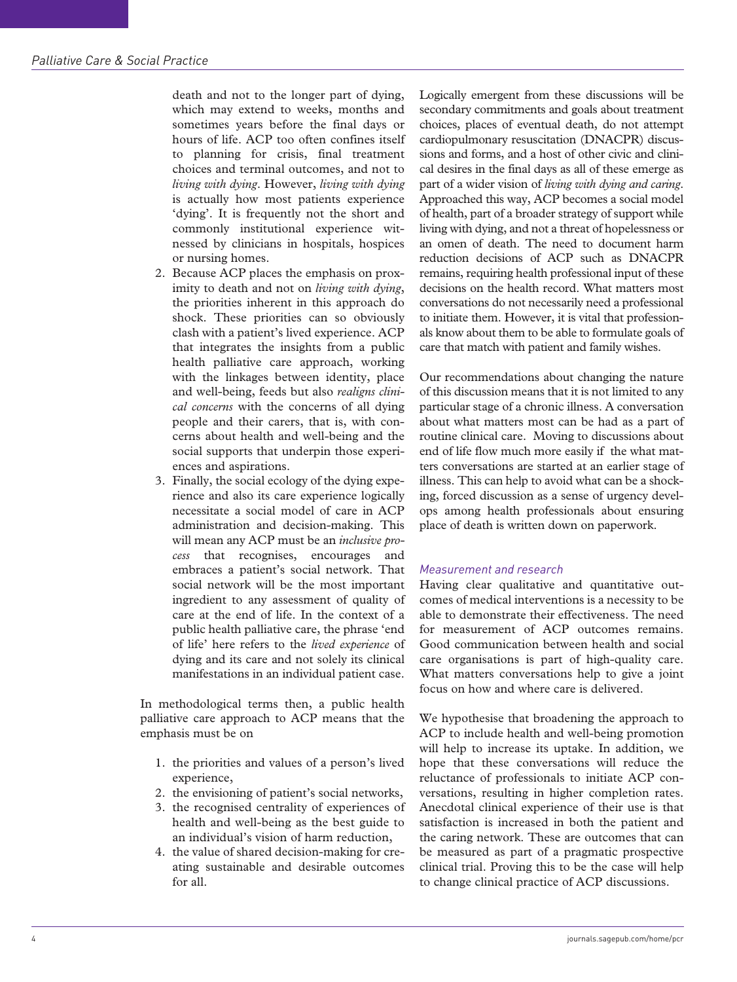death and not to the longer part of dying, which may extend to weeks, months and sometimes years before the final days or hours of life. ACP too often confines itself to planning for crisis, final treatment choices and terminal outcomes, and not to *living with dying*. However, *living with dying* is actually how most patients experience 'dying'. It is frequently not the short and commonly institutional experience witnessed by clinicians in hospitals, hospices or nursing homes.

- 2. Because ACP places the emphasis on proximity to death and not on *living with dying*, the priorities inherent in this approach do shock. These priorities can so obviously clash with a patient's lived experience. ACP that integrates the insights from a public health palliative care approach, working with the linkages between identity, place and well-being, feeds but also *realigns clinical concerns* with the concerns of all dying people and their carers, that is, with concerns about health and well-being and the social supports that underpin those experiences and aspirations.
- 3. Finally, the social ecology of the dying experience and also its care experience logically necessitate a social model of care in ACP administration and decision-making. This will mean any ACP must be an *inclusive process* that recognises, encourages and embraces a patient's social network. That social network will be the most important ingredient to any assessment of quality of care at the end of life. In the context of a public health palliative care, the phrase 'end of life' here refers to the *lived experience* of dying and its care and not solely its clinical manifestations in an individual patient case.

In methodological terms then, a public health palliative care approach to ACP means that the emphasis must be on

- 1. the priorities and values of a person's lived experience,
- 2. the envisioning of patient's social networks,
- 3. the recognised centrality of experiences of health and well-being as the best guide to an individual's vision of harm reduction,
- 4. the value of shared decision-making for creating sustainable and desirable outcomes for all.

Logically emergent from these discussions will be secondary commitments and goals about treatment choices, places of eventual death, do not attempt cardiopulmonary resuscitation (DNACPR) discussions and forms, and a host of other civic and clinical desires in the final days as all of these emerge as part of a wider vision of *living with dying and caring*. Approached this way, ACP becomes a social model of health, part of a broader strategy of support while living with dying, and not a threat of hopelessness or an omen of death. The need to document harm reduction decisions of ACP such as DNACPR remains, requiring health professional input of these decisions on the health record. What matters most conversations do not necessarily need a professional to initiate them. However, it is vital that professionals know about them to be able to formulate goals of care that match with patient and family wishes.

Our recommendations about changing the nature of this discussion means that it is not limited to any particular stage of a chronic illness. A conversation about what matters most can be had as a part of routine clinical care. Moving to discussions about end of life flow much more easily if the what matters conversations are started at an earlier stage of illness. This can help to avoid what can be a shocking, forced discussion as a sense of urgency develops among health professionals about ensuring place of death is written down on paperwork.

# *Measurement and research*

Having clear qualitative and quantitative outcomes of medical interventions is a necessity to be able to demonstrate their effectiveness. The need for measurement of ACP outcomes remains. Good communication between health and social care organisations is part of high-quality care. What matters conversations help to give a joint focus on how and where care is delivered.

We hypothesise that broadening the approach to ACP to include health and well-being promotion will help to increase its uptake. In addition, we hope that these conversations will reduce the reluctance of professionals to initiate ACP conversations, resulting in higher completion rates. Anecdotal clinical experience of their use is that satisfaction is increased in both the patient and the caring network. These are outcomes that can be measured as part of a pragmatic prospective clinical trial. Proving this to be the case will help to change clinical practice of ACP discussions.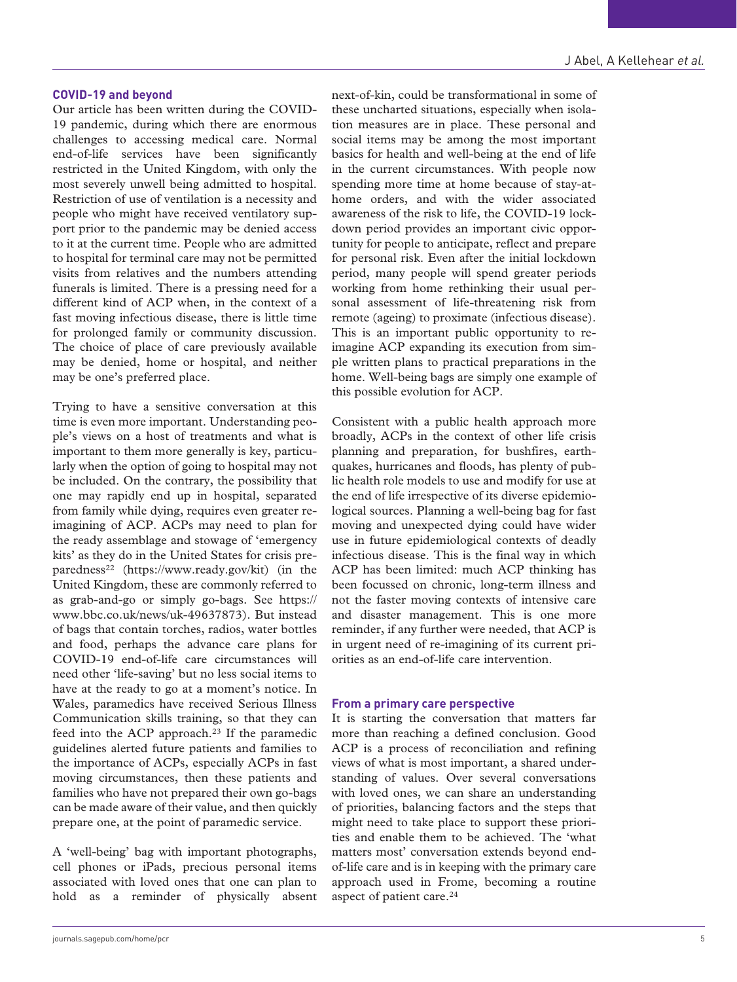#### **COVID-19 and beyond**

Our article has been written during the COVID-19 pandemic, during which there are enormous challenges to accessing medical care. Normal end-of-life services have been significantly restricted in the United Kingdom, with only the most severely unwell being admitted to hospital. Restriction of use of ventilation is a necessity and people who might have received ventilatory support prior to the pandemic may be denied access to it at the current time. People who are admitted to hospital for terminal care may not be permitted visits from relatives and the numbers attending funerals is limited. There is a pressing need for a different kind of ACP when, in the context of a fast moving infectious disease, there is little time for prolonged family or community discussion. The choice of place of care previously available may be denied, home or hospital, and neither may be one's preferred place.

Trying to have a sensitive conversation at this time is even more important. Understanding people's views on a host of treatments and what is important to them more generally is key, particularly when the option of going to hospital may not be included. On the contrary, the possibility that one may rapidly end up in hospital, separated from family while dying, requires even greater reimagining of ACP. ACPs may need to plan for the ready assemblage and stowage of 'emergency kits' as they do in the United States for crisis preparedness<sup>22</sup> ([https://www.ready.gov/kit\)](https://www.ready.gov/kit) (in the United Kingdom, these are commonly referred to as grab-and-go or simply go-bags. See [https://](https://www.bbc.co.uk/news/uk-49637873) [www.bbc.co.uk/news/uk-49637873\)](https://www.bbc.co.uk/news/uk-49637873). But instead of bags that contain torches, radios, water bottles and food, perhaps the advance care plans for COVID-19 end-of-life care circumstances will need other 'life-saving' but no less social items to have at the ready to go at a moment's notice. In Wales, paramedics have received Serious Illness Communication skills training, so that they can feed into the ACP approach.<sup>23</sup> If the paramedic guidelines alerted future patients and families to the importance of ACPs, especially ACPs in fast moving circumstances, then these patients and families who have not prepared their own go-bags can be made aware of their value, and then quickly prepare one, at the point of paramedic service.

A 'well-being' bag with important photographs, cell phones or iPads, precious personal items associated with loved ones that one can plan to hold as a reminder of physically absent next-of-kin, could be transformational in some of these uncharted situations, especially when isolation measures are in place. These personal and social items may be among the most important basics for health and well-being at the end of life in the current circumstances. With people now spending more time at home because of stay-athome orders, and with the wider associated awareness of the risk to life, the COVID-19 lockdown period provides an important civic opportunity for people to anticipate, reflect and prepare for personal risk. Even after the initial lockdown period, many people will spend greater periods working from home rethinking their usual personal assessment of life-threatening risk from remote (ageing) to proximate (infectious disease). This is an important public opportunity to reimagine ACP expanding its execution from simple written plans to practical preparations in the home. Well-being bags are simply one example of this possible evolution for ACP.

Consistent with a public health approach more broadly, ACPs in the context of other life crisis planning and preparation, for bushfires, earthquakes, hurricanes and floods, has plenty of public health role models to use and modify for use at the end of life irrespective of its diverse epidemiological sources. Planning a well-being bag for fast moving and unexpected dying could have wider use in future epidemiological contexts of deadly infectious disease. This is the final way in which ACP has been limited: much ACP thinking has been focussed on chronic, long-term illness and not the faster moving contexts of intensive care and disaster management. This is one more reminder, if any further were needed, that ACP is in urgent need of re-imagining of its current priorities as an end-of-life care intervention.

#### **From a primary care perspective**

It is starting the conversation that matters far more than reaching a defined conclusion. Good ACP is a process of reconciliation and refining views of what is most important, a shared understanding of values. Over several conversations with loved ones, we can share an understanding of priorities, balancing factors and the steps that might need to take place to support these priorities and enable them to be achieved. The 'what matters most' conversation extends beyond endof-life care and is in keeping with the primary care approach used in Frome, becoming a routine aspect of patient care.<sup>24</sup>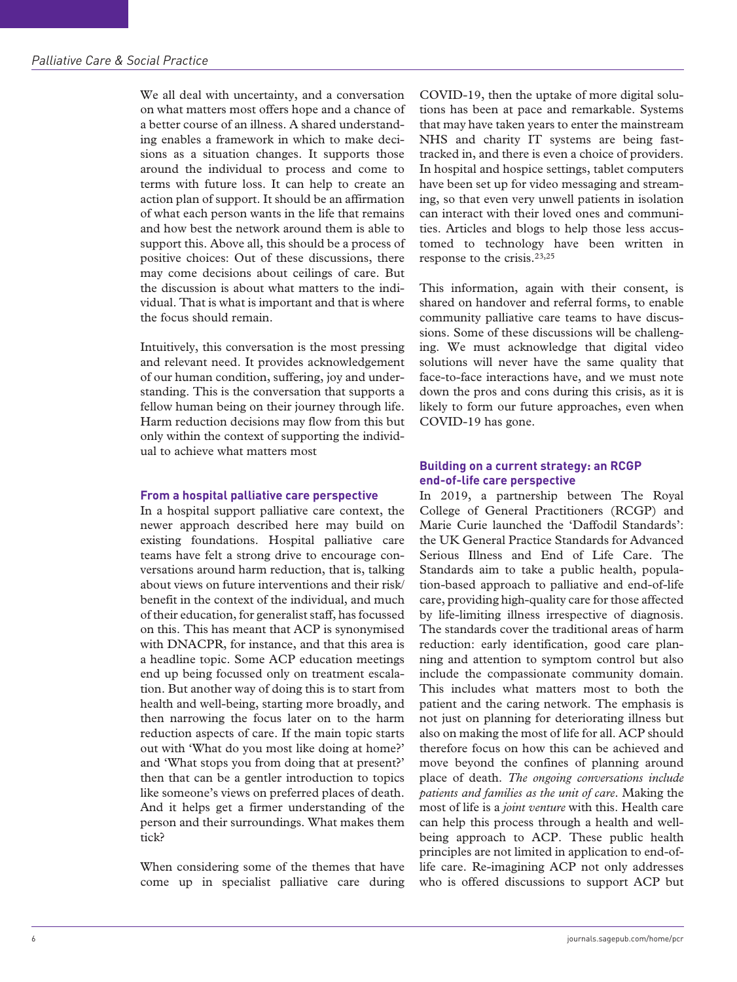We all deal with uncertainty, and a conversation on what matters most offers hope and a chance of a better course of an illness. A shared understanding enables a framework in which to make decisions as a situation changes. It supports those around the individual to process and come to terms with future loss. It can help to create an action plan of support. It should be an affirmation of what each person wants in the life that remains and how best the network around them is able to support this. Above all, this should be a process of positive choices: Out of these discussions, there may come decisions about ceilings of care. But the discussion is about what matters to the individual. That is what is important and that is where the focus should remain.

Intuitively, this conversation is the most pressing and relevant need. It provides acknowledgement of our human condition, suffering, joy and understanding. This is the conversation that supports a fellow human being on their journey through life. Harm reduction decisions may flow from this but only within the context of supporting the individual to achieve what matters most

# **From a hospital palliative care perspective**

In a hospital support palliative care context, the newer approach described here may build on existing foundations. Hospital palliative care teams have felt a strong drive to encourage conversations around harm reduction, that is, talking about views on future interventions and their risk/ benefit in the context of the individual, and much of their education, for generalist staff, has focussed on this. This has meant that ACP is synonymised with DNACPR, for instance, and that this area is a headline topic. Some ACP education meetings end up being focussed only on treatment escalation. But another way of doing this is to start from health and well-being, starting more broadly, and then narrowing the focus later on to the harm reduction aspects of care. If the main topic starts out with 'What do you most like doing at home?' and 'What stops you from doing that at present?' then that can be a gentler introduction to topics like someone's views on preferred places of death. And it helps get a firmer understanding of the person and their surroundings. What makes them tick?

When considering some of the themes that have come up in specialist palliative care during

COVID-19, then the uptake of more digital solutions has been at pace and remarkable. Systems that may have taken years to enter the mainstream NHS and charity IT systems are being fasttracked in, and there is even a choice of providers. In hospital and hospice settings, tablet computers have been set up for video messaging and streaming, so that even very unwell patients in isolation can interact with their loved ones and communities. Articles and blogs to help those less accustomed to technology have been written in response to the crisis.23,25

This information, again with their consent, is shared on handover and referral forms, to enable community palliative care teams to have discussions. Some of these discussions will be challenging. We must acknowledge that digital video solutions will never have the same quality that face-to-face interactions have, and we must note down the pros and cons during this crisis, as it is likely to form our future approaches, even when COVID-19 has gone.

# **Building on a current strategy: an RCGP end-of-life care perspective**

In 2019, a partnership between The Royal College of General Practitioners (RCGP) and Marie Curie launched the 'Daffodil Standards': the UK General Practice Standards for Advanced Serious Illness and End of Life Care. The Standards aim to take a public health, population-based approach to palliative and end-of-life care, providing high-quality care for those affected by life-limiting illness irrespective of diagnosis. The standards cover the traditional areas of harm reduction: early identification, good care planning and attention to symptom control but also include the compassionate community domain. This includes what matters most to both the patient and the caring network. The emphasis is not just on planning for deteriorating illness but also on making the most of life for all. ACP should therefore focus on how this can be achieved and move beyond the confines of planning around place of death. *The ongoing conversations include patients and families as the unit of care*. Making the most of life is a *joint venture* with this. Health care can help this process through a health and wellbeing approach to ACP. These public health principles are not limited in application to end-oflife care. Re-imagining ACP not only addresses who is offered discussions to support ACP but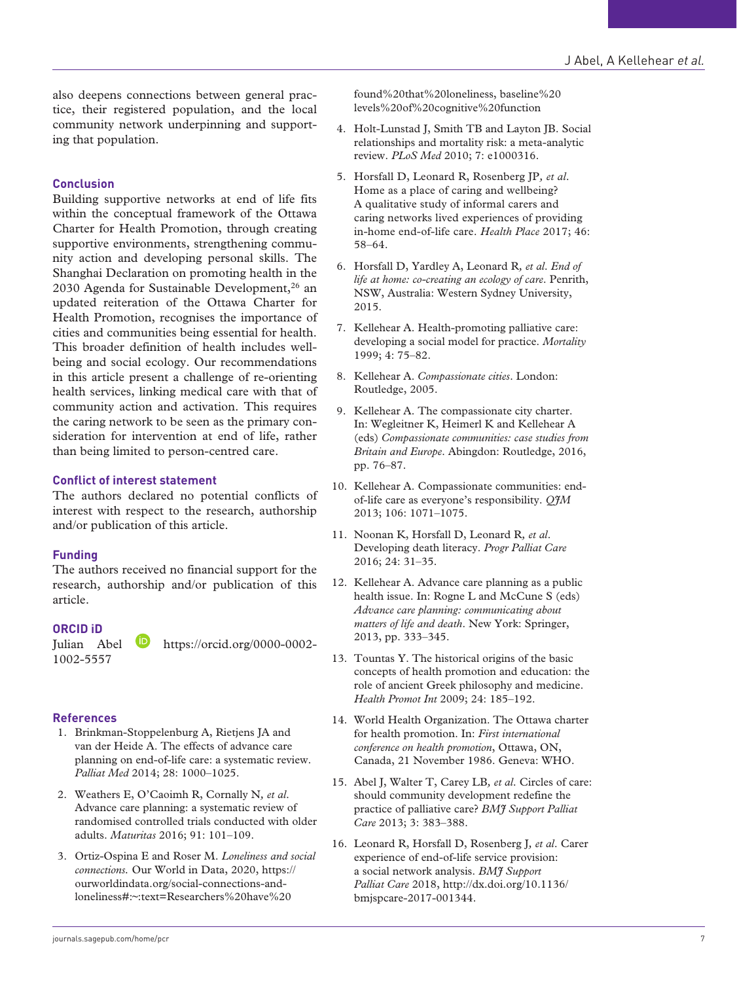also deepens connections between general practice, their registered population, and the local community network underpinning and supporting that population.

# **Conclusion**

Building supportive networks at end of life fits within the conceptual framework of the Ottawa Charter for Health Promotion, through creating supportive environments, strengthening community action and developing personal skills. The Shanghai Declaration on promoting health in the 2030 Agenda for Sustainable Development,<sup>26</sup> an updated reiteration of the Ottawa Charter for Health Promotion, recognises the importance of cities and communities being essential for health. This broader definition of health includes wellbeing and social ecology. Our recommendations in this article present a challenge of re-orienting health services, linking medical care with that of community action and activation. This requires the caring network to be seen as the primary consideration for intervention at end of life, rather than being limited to person-centred care.

## **Conflict of interest statement**

The authors declared no potential conflicts of interest with respect to the research, authorship and/or publication of this article.

## **Funding**

The authors received no financial support for the research, authorship and/or publication of this article.

#### **ORCID iD**

Julian Abel [https://orcid.org/0000-0002-](https://orcid.org/0000-0002-1002-5557) [1002-5557](https://orcid.org/0000-0002-1002-5557)

# **References**

- 1. Brinkman-Stoppelenburg A, Rietjens JA and van der Heide A. The effects of advance care planning on end-of-life care: a systematic review. *Palliat Med* 2014; 28: 1000–1025.
- 2. Weathers E, O'Caoimh R, Cornally N*, et al*. Advance care planning: a systematic review of randomised controlled trials conducted with older adults. *Maturitas* 2016; 91: 101–109.
- 3. Ortiz-Ospina E and Roser M. *Loneliness and social connections.* Our World in Data, 2020, [https://](https://ourworldindata.org/social-connections-and-loneliness#:~:text=Researchers%20have%20found%20that%20loneliness) [ourworldindata.org/social-connections-and](https://ourworldindata.org/social-connections-and-loneliness#:~:text=Researchers%20have%20found%20that%20loneliness)[loneliness#:~:text=Researchers%20have%20](https://ourworldindata.org/social-connections-and-loneliness#:~:text=Researchers%20have%20found%20that%20loneliness)

[found%20that%20loneliness,](https://ourworldindata.org/social-connections-and-loneliness#:~:text=Researchers%20have%20found%20that%20loneliness) baseline%20 levels%20of%20cognitive%20function

- 4. Holt-Lunstad J, Smith TB and Layton JB. Social relationships and mortality risk: a meta-analytic review. *PLoS Med* 2010; 7: e1000316.
- 5. Horsfall D, Leonard R, Rosenberg JP*, et al*. Home as a place of caring and wellbeing? A qualitative study of informal carers and caring networks lived experiences of providing in-home end-of-life care. *Health Place* 2017; 46: 58–64.
- 6. Horsfall D, Yardley A, Leonard R*, et al*. *End of life at home: co-creating an ecology of care*. Penrith, NSW, Australia: Western Sydney University, 2015.
- 7. Kellehear A. Health-promoting palliative care: developing a social model for practice. *Mortality* 1999; 4: 75–82.
- 8. Kellehear A. *Compassionate cities*. London: Routledge, 2005.
- 9. Kellehear A. The compassionate city charter. In: Wegleitner K, Heimerl K and Kellehear A (eds) *Compassionate communities: case studies from Britain and Europe*. Abingdon: Routledge, 2016, pp. 76–87.
- 10. Kellehear A. Compassionate communities: endof-life care as everyone's responsibility. *QJM* 2013; 106: 1071–1075.
- 11. Noonan K, Horsfall D, Leonard R*, et al*. Developing death literacy. *Progr Palliat Care* 2016; 24: 31–35.
- 12. Kellehear A. Advance care planning as a public health issue. In: Rogne L and McCune S (eds) *Advance care planning: communicating about matters of life and death*. New York: Springer, 2013, pp. 333–345.
- 13. Tountas Y. The historical origins of the basic concepts of health promotion and education: the role of ancient Greek philosophy and medicine. *Health Promot Int* 2009; 24: 185–192.
- 14. World Health Organization. The Ottawa charter for health promotion. In: *First international conference on health promotion*, Ottawa, ON, Canada, 21 November 1986. Geneva: WHO.
- 15. Abel J, Walter T, Carey LB*, et al*. Circles of care: should community development redefine the practice of palliative care? *BMJ Support Palliat Care* 2013; 3: 383–388.
- 16. Leonard R, Horsfall D, Rosenberg J*, et al*. Carer experience of end-of-life service provision: a social network analysis. *BMJ Support Palliat Care* 2018, [http://dx.doi.org/10.1136/](http://dx.doi.org/10.1136/bmjspcare-2017-001344) [bmjspcare-2017-001344](http://dx.doi.org/10.1136/bmjspcare-2017-001344).